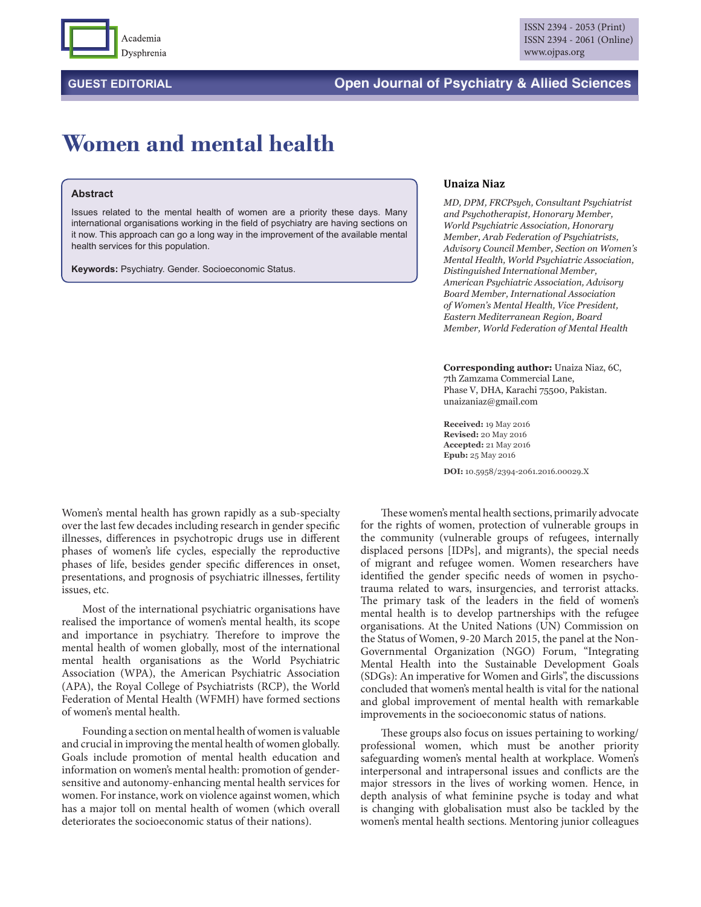

## **GUEST EDITORIAL Open Journal of Psychiatry & Allied Sciences**

## **Women and mental health**

## **Abstract**

Issues related to the mental health of women are a priority these days. Many international organisations working in the field of psychiatry are having sections on it now. This approach can go a long way in the improvement of the available mental health services for this population.

**Keywords:** Psychiatry. Gender. Socioeconomic Status.

## **Unaiza Niaz**

*MD, DPM, FRCPsych, Consultant Psychiatrist and Psychotherapist, Honorary Member, World Psychiatric Association, Honorary Member, Arab Federation of Psychiatrists, Advisory Council Member, Section on Women's Mental Health, World Psychiatric Association, Distinguished International Member, American Psychiatric Association, Advisory Board Member, International Association of Women's Mental Health, Vice President, Eastern Mediterranean Region, Board Member, World Federation of Mental Health*

**Corresponding author:** Unaiza Niaz, 6C, 7th Zamzama Commercial Lane, Phase V, DHA, Karachi 75500, Pakistan. unaizaniaz@gmail.com

**Received:** 19 May 2016 **Revised:** 20 May 2016 **Accepted:** 21 May 2016 **Epub:** 25 May 2016

**DOI:** 10.5958/2394-2061.2016.00029.X

Women's mental health has grown rapidly as a sub-specialty over the last few decades including research in gender specific illnesses, differences in psychotropic drugs use in different phases of women's life cycles, especially the reproductive phases of life, besides gender specific differences in onset, presentations, and prognosis of psychiatric illnesses, fertility issues, etc.

Most of the international psychiatric organisations have realised the importance of women's mental health, its scope and importance in psychiatry. Therefore to improve the mental health of women globally, most of the international mental health organisations as the World Psychiatric Association (WPA), the American Psychiatric Association (APA), the Royal College of Psychiatrists (RCP), the World Federation of Mental Health (WFMH) have formed sections of women's mental health.

Founding a section on mental health of women is valuable and crucial in improving the mental health of women globally. Goals include promotion of mental health education and information on women's mental health: promotion of gendersensitive and autonomy-enhancing mental health services for women. For instance, work on violence against women, which has a major toll on mental health of women (which overall deteriorates the socioeconomic status of their nations).

These women's mental health sections, primarily advocate for the rights of women, protection of vulnerable groups in the community (vulnerable groups of refugees, internally displaced persons [IDPs], and migrants), the special needs of migrant and refugee women. Women researchers have identified the gender specific needs of women in psychotrauma related to wars, insurgencies, and terrorist attacks. The primary task of the leaders in the field of women's mental health is to develop partnerships with the refugee organisations. At the United Nations (UN) Commission on the Status of Women, 9-20 March 2015, the panel at the Non-Governmental Organization (NGO) Forum, "Integrating Mental Health into the Sustainable Development Goals (SDGs): An imperative for Women and Girls", the discussions concluded that women's mental health is vital for the national and global improvement of mental health with remarkable improvements in the socioeconomic status of nations.

These groups also focus on issues pertaining to working/ professional women, which must be another priority safeguarding women's mental health at workplace. Women's interpersonal and intrapersonal issues and conflicts are the major stressors in the lives of working women. Hence, in depth analysis of what feminine psyche is today and what is changing with globalisation must also be tackled by the women's mental health sections. Mentoring junior colleagues